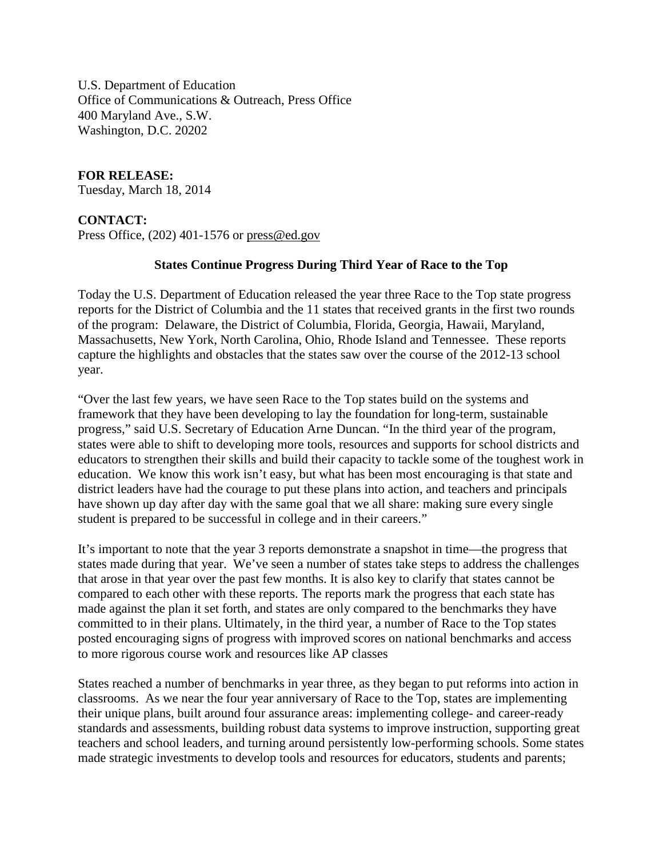U.S. Department of Education Office of Communications & Outreach, Press Office 400 Maryland Ave., S.W. Washington, D.C. 20202

## **FOR RELEASE:**

Tuesday, March 18, 2014

## **CONTACT:**

Press Office, (202) 401-1576 or [press@ed.gov](mailto:press@ed.gov)

## **States Continue Progress During Third Year of Race to the Top**

Today the U.S. Department of Education released the year three Race to the Top state progress reports for the District of Columbia and the 11 states that received grants in the first two rounds of the program: Delaware, the District of Columbia, Florida, Georgia, Hawaii, Maryland, Massachusetts, New York, North Carolina, Ohio, Rhode Island and Tennessee. These reports capture the highlights and obstacles that the states saw over the course of the 2012-13 school year.

"Over the last few years, we have seen Race to the Top states build on the systems and framework that they have been developing to lay the foundation for long-term, sustainable progress," said U.S. Secretary of Education Arne Duncan. "In the third year of the program, states were able to shift to developing more tools, resources and supports for school districts and educators to strengthen their skills and build their capacity to tackle some of the toughest work in education. We know this work isn't easy, but what has been most encouraging is that state and district leaders have had the courage to put these plans into action, and teachers and principals have shown up day after day with the same goal that we all share: making sure every single student is prepared to be successful in college and in their careers."

It's important to note that the year 3 reports demonstrate a snapshot in time—the progress that states made during that year. We've seen a number of states take steps to address the challenges that arose in that year over the past few months. It is also key to clarify that states cannot be compared to each other with these reports. The reports mark the progress that each state has made against the plan it set forth, and states are only compared to the benchmarks they have committed to in their plans. Ultimately, in the third year, a number of Race to the Top states posted encouraging signs of progress with improved scores on national benchmarks and access to more rigorous course work and resources like AP classes

States reached a number of benchmarks in year three, as they began to put reforms into action in classrooms. As we near the four year anniversary of Race to the Top, states are implementing their unique plans, built around four assurance areas: implementing college- and career-ready standards and assessments, building robust data systems to improve instruction, supporting great teachers and school leaders, and turning around persistently low-performing schools. Some states made strategic investments to develop tools and resources for educators, students and parents;